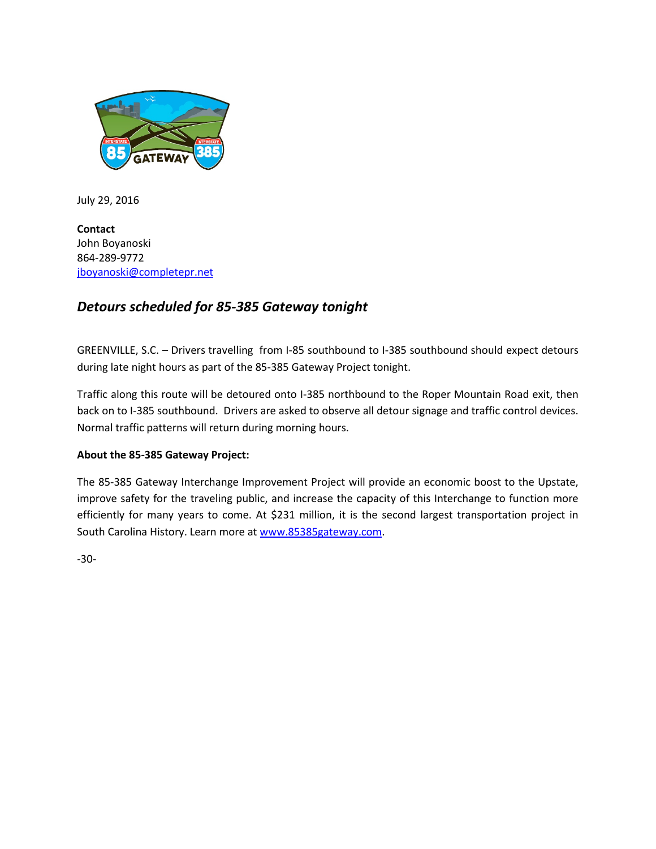

July 29, 2016

**Contact** John Boyanoski 864-289-9772 [jboyanoski@completepr.net](mailto:jboyanoski@completepr.net)

# *Detours scheduled for 85-385 Gateway tonight*

GREENVILLE, S.C. – Drivers travelling from I-85 southbound to I-385 southbound should expect detours during late night hours as part of the 85-385 Gateway Project tonight.

Traffic along this route will be detoured onto I-385 northbound to the Roper Mountain Road exit, then back on to I-385 southbound. Drivers are asked to observe all detour signage and traffic control devices. Normal traffic patterns will return during morning hours.

### **About the 85-385 Gateway Project:**

The 85-385 Gateway Interchange Improvement Project will provide an economic boost to the Upstate, improve safety for the traveling public, and increase the capacity of this Interchange to function more efficiently for many years to come. At \$231 million, it is the second largest transportation project in South Carolina History. Learn more a[t www.85385gateway.com.](http://www.85385gateway.com/)

-30-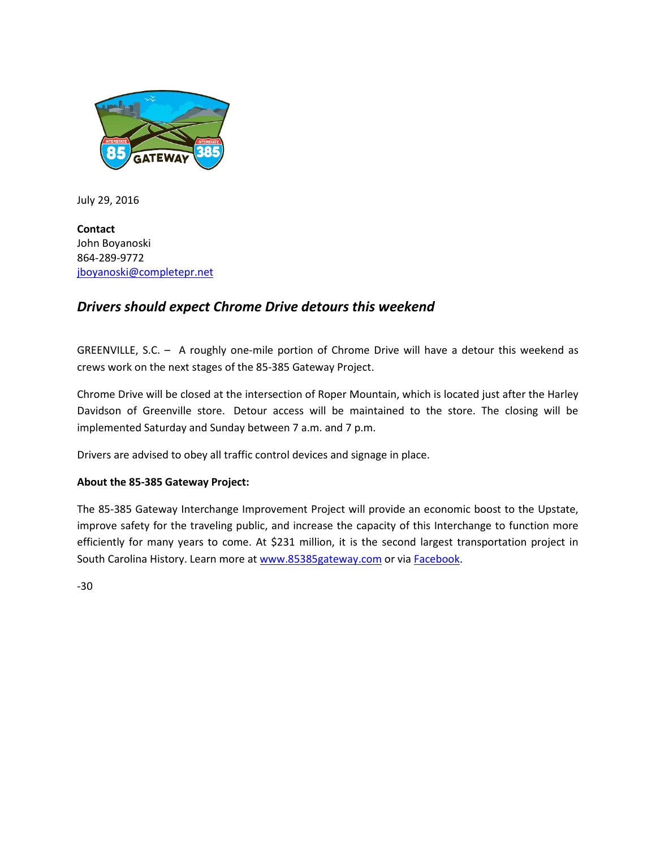

July 29, 2016

**Contact** John Boyanoski 864-289-9772 [jboyanoski@completepr.net](mailto:jboyanoski@completepr.net)

## *Drivers should expect Chrome Drive detours this weekend*

GREENVILLE, S.C. – A roughly one-mile portion of Chrome Drive will have a detour this weekend as crews work on the next stages of the 85-385 Gateway Project.

Chrome Drive will be closed at the intersection of Roper Mountain, which is located just after the Harley Davidson of Greenville store. Detour access will be maintained to the store. The closing will be implemented Saturday and Sunday between 7 a.m. and 7 p.m.

Drivers are advised to obey all traffic control devices and signage in place.

### **About the 85-385 Gateway Project:**

The 85-385 Gateway Interchange Improvement Project will provide an economic boost to the Upstate, improve safety for the traveling public, and increase the capacity of this Interchange to function more efficiently for many years to come. At \$231 million, it is the second largest transportation project in South Carolina History. Learn more a[t www.85385gateway.com](http://www.85385gateway.com/) or via [Facebook.](https://www.facebook.com/85385Gatewa)

-30